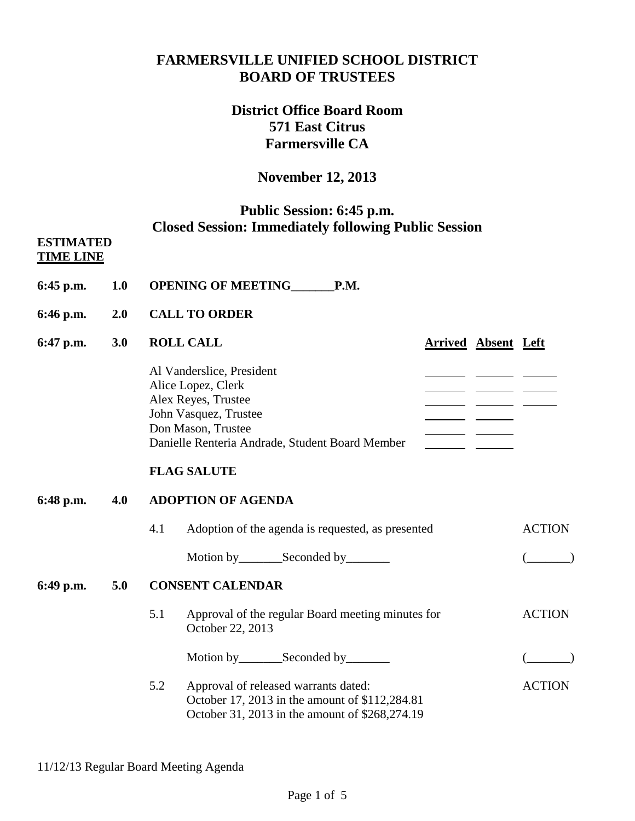# **FARMERSVILLE UNIFIED SCHOOL DISTRICT BOARD OF TRUSTEES**

# **District Office Board Room 571 East Citrus Farmersville CA**

# **November 12, 2013**

# **Public Session: 6:45 p.m. Closed Session: Immediately following Public Session**

#### **ESTIMATED TIME LINE**

- **6:45 p.m. 1.0 OPENING OF MEETING\_\_\_\_\_\_\_P.M.**
- **6:46 p.m. 2.0 CALL TO ORDER**

#### **6:47 p.m. 3.0 ROLL CALL Arrived Absent Left** Al Vanderslice, President Alice Lopez, Clerk and the contract of the contract of the contract of the contract of the contract of the contract of the contract of the contract of the contract of the contract of the contract of the contract of the con Alex Reyes, Trustee John Vasquez, Trustee Don Mason, Trustee Danielle Renteria Andrade, Student Board Member

## **FLAG SALUTE**

## **6:48 p.m. 4.0 ADOPTION OF AGENDA**

4.1 Adoption of the agenda is requested, as presented ACTION Motion by\_\_\_\_\_\_\_Seconded by\_\_\_\_\_\_\_ (\_\_\_\_\_\_\_)

## **6:49 p.m. 5.0 CONSENT CALENDAR**

- 5.1 Approval of the regular Board meeting minutes for ACTION October 22, 2013 Motion by\_\_\_\_\_\_\_Seconded by\_\_\_\_\_\_\_ (\_\_\_\_\_\_\_)
- 5.2 Approval of released warrants dated: ACTION October 17, 2013 in the amount of \$112,284.81 October 31, 2013 in the amount of \$268,274.19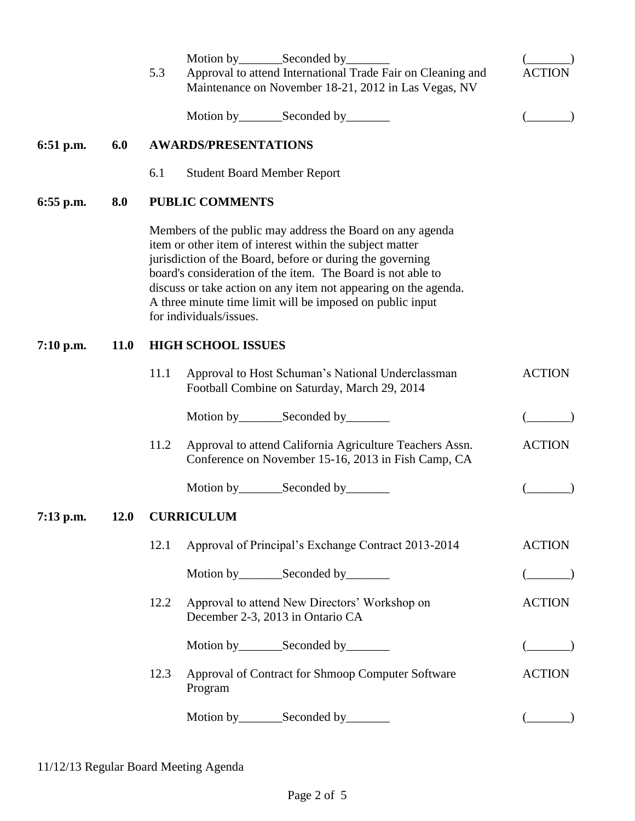|           |             | 5.3                       | Approval to attend International Trade Fair on Cleaning and<br>Maintenance on November 18-21, 2012 in Las Vegas, NV                                                                                                                                                                                                                                                                                          | ACTIC         |  |
|-----------|-------------|---------------------------|--------------------------------------------------------------------------------------------------------------------------------------------------------------------------------------------------------------------------------------------------------------------------------------------------------------------------------------------------------------------------------------------------------------|---------------|--|
|           |             |                           | Motion by__________Seconded by__________                                                                                                                                                                                                                                                                                                                                                                     |               |  |
| 6:51 p.m. | 6.0         |                           | <b>AWARDS/PRESENTATIONS</b>                                                                                                                                                                                                                                                                                                                                                                                  |               |  |
|           |             | 6.1                       | <b>Student Board Member Report</b>                                                                                                                                                                                                                                                                                                                                                                           |               |  |
| 6:55 p.m. | 8.0         | <b>PUBLIC COMMENTS</b>    |                                                                                                                                                                                                                                                                                                                                                                                                              |               |  |
|           |             |                           | Members of the public may address the Board on any agenda<br>item or other item of interest within the subject matter<br>jurisdiction of the Board, before or during the governing<br>board's consideration of the item. The Board is not able to<br>discuss or take action on any item not appearing on the agenda.<br>A three minute time limit will be imposed on public input<br>for individuals/issues. |               |  |
| 7:10 p.m. | <b>11.0</b> | <b>HIGH SCHOOL ISSUES</b> |                                                                                                                                                                                                                                                                                                                                                                                                              |               |  |
|           |             | 11.1                      | Approval to Host Schuman's National Underclassman<br>Football Combine on Saturday, March 29, 2014                                                                                                                                                                                                                                                                                                            | <b>ACTION</b> |  |
|           |             |                           | Motion by_________Seconded by________                                                                                                                                                                                                                                                                                                                                                                        |               |  |
|           |             | 11.2                      | Approval to attend California Agriculture Teachers Assn.<br>Conference on November 15-16, 2013 in Fish Camp, CA                                                                                                                                                                                                                                                                                              | <b>ACTION</b> |  |
|           |             |                           |                                                                                                                                                                                                                                                                                                                                                                                                              |               |  |
| 7:13 p.m. | 12.0        | <b>CURRICULUM</b>         |                                                                                                                                                                                                                                                                                                                                                                                                              |               |  |
|           |             | 12.1                      | Approval of Principal's Exchange Contract 2013-2014                                                                                                                                                                                                                                                                                                                                                          | <b>ACTION</b> |  |
|           |             |                           | Motion by __________ Seconded by _________                                                                                                                                                                                                                                                                                                                                                                   |               |  |
|           |             | 12.2                      | Approval to attend New Directors' Workshop on<br>December 2-3, 2013 in Ontario CA                                                                                                                                                                                                                                                                                                                            | <b>ACTION</b> |  |
|           |             |                           |                                                                                                                                                                                                                                                                                                                                                                                                              |               |  |
|           |             | 12.3                      | Approval of Contract for Shmoop Computer Software<br>Program                                                                                                                                                                                                                                                                                                                                                 | <b>ACTION</b> |  |
|           |             |                           | Motion by __________ Seconded by _________                                                                                                                                                                                                                                                                                                                                                                   |               |  |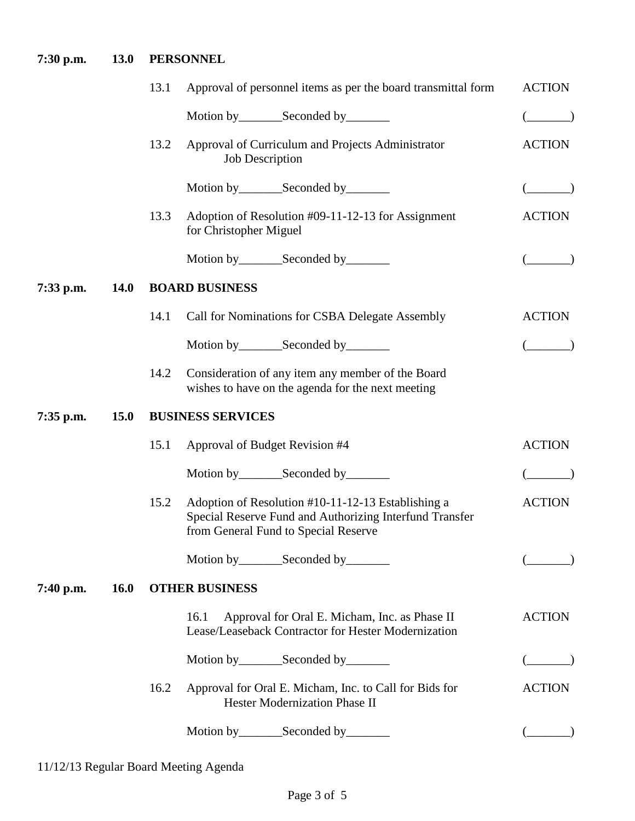# **7:30 p.m. 13.0 PERSONNEL**

|             |             | 13.1                  | Approval of personnel items as per the board transmittal form                                                                                         | <b>ACTION</b> |  |
|-------------|-------------|-----------------------|-------------------------------------------------------------------------------------------------------------------------------------------------------|---------------|--|
|             |             |                       |                                                                                                                                                       |               |  |
|             |             | 13.2                  | Approval of Curriculum and Projects Administrator<br><b>Job Description</b>                                                                           | <b>ACTION</b> |  |
|             |             |                       |                                                                                                                                                       |               |  |
|             |             | 13.3                  | Adoption of Resolution #09-11-12-13 for Assignment<br>for Christopher Miguel                                                                          | <b>ACTION</b> |  |
|             |             |                       | Motion by __________ Seconded by _________                                                                                                            |               |  |
| 7:33 p.m.   | <b>14.0</b> | <b>BOARD BUSINESS</b> |                                                                                                                                                       |               |  |
|             |             | 14.1                  | Call for Nominations for CSBA Delegate Assembly                                                                                                       | <b>ACTION</b> |  |
|             |             |                       | Motion by__________Seconded by_________                                                                                                               |               |  |
|             |             | 14.2                  | Consideration of any item any member of the Board<br>wishes to have on the agenda for the next meeting                                                |               |  |
| $7:35$ p.m. | <b>15.0</b> |                       | <b>BUSINESS SERVICES</b>                                                                                                                              |               |  |
|             |             | 15.1                  | Approval of Budget Revision #4                                                                                                                        | <b>ACTION</b> |  |
|             |             |                       | Motion by _____________Seconded by ___________                                                                                                        |               |  |
|             |             | 15.2                  | Adoption of Resolution #10-11-12-13 Establishing a<br>Special Reserve Fund and Authorizing Interfund Transfer<br>from General Fund to Special Reserve | <b>ACTION</b> |  |
|             |             |                       | Motion by __________ Seconded by _________                                                                                                            |               |  |
| 7:40 p.m.   | <b>16.0</b> | <b>OTHER BUSINESS</b> |                                                                                                                                                       |               |  |
|             |             |                       | Approval for Oral E. Micham, Inc. as Phase II<br>16.1<br>Lease/Leaseback Contractor for Hester Modernization                                          | <b>ACTION</b> |  |
|             |             |                       | Motion by__________Seconded by_________                                                                                                               |               |  |
|             |             | 16.2                  | Approval for Oral E. Micham, Inc. to Call for Bids for<br>Hester Modernization Phase II                                                               | <b>ACTION</b> |  |
|             |             |                       |                                                                                                                                                       |               |  |
|             |             |                       |                                                                                                                                                       |               |  |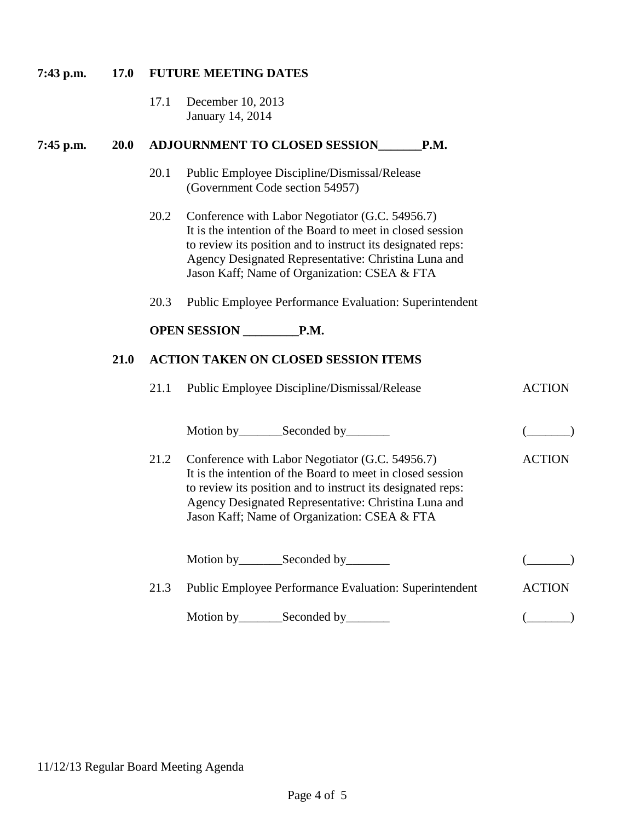#### **7:43 p.m. 17.0 FUTURE MEETING DATES**

17.1 December 10, 2013 January 14, 2014

### **7:45 p.m. 20.0 ADJOURNMENT TO CLOSED SESSION\_\_\_\_\_\_\_P.M.**

- 20.1 Public Employee Discipline/Dismissal/Release (Government Code section 54957)
- 20.2 Conference with Labor Negotiator (G.C. 54956.7) It is the intention of the Board to meet in closed session to review its position and to instruct its designated reps: Agency Designated Representative: Christina Luna and Jason Kaff; Name of Organization: CSEA & FTA
- 20.3 Public Employee Performance Evaluation: Superintendent

## **OPEN SESSION \_\_\_\_\_\_\_\_\_P.M.**

#### **8:10 p.m. 21.0 21.0 ACTION TAKEN ON CLOSED SESSION ITEMS**

| 21.1 | Public Employee Discipline/Dismissal/Release                                                                                                                                                                                                                                         |               |
|------|--------------------------------------------------------------------------------------------------------------------------------------------------------------------------------------------------------------------------------------------------------------------------------------|---------------|
|      |                                                                                                                                                                                                                                                                                      |               |
| 21.2 | Conference with Labor Negotiator (G.C. 54956.7)<br>It is the intention of the Board to meet in closed session<br>to review its position and to instruct its designated reps:<br>Agency Designated Representative: Christina Luna and<br>Jason Kaff; Name of Organization: CSEA & FTA | ACTION        |
|      | Motion by _____________Seconded by ___________                                                                                                                                                                                                                                       |               |
| 21.3 | <b>Public Employee Performance Evaluation: Superintendent</b>                                                                                                                                                                                                                        | <b>ACTION</b> |
|      |                                                                                                                                                                                                                                                                                      |               |